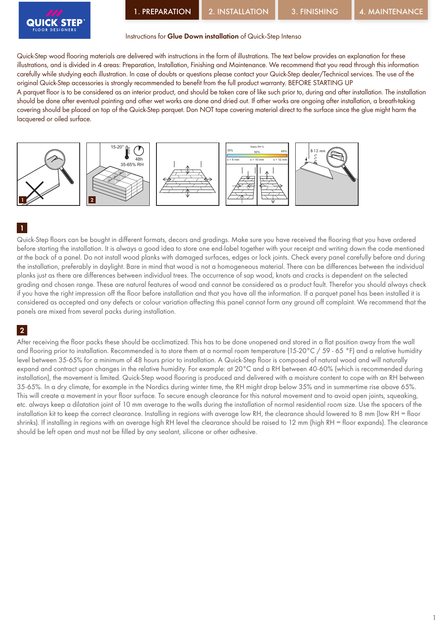

#### Instructions for Glue Down installation of Quick-Step Intenso

Quick-Step wood flooring materials are delivered with instructions in the form of illustrations. The text below provides an explanation for these illustrations, and is divided in 4 areas: Preparation, Installation, Finishing and Maintenance. We recommend that you read through this information carefully while studying each illustration. In case of doubts or questions please contact your Quick-Step dealer/Technical services. The use of the original Quick-Step accessories is strongly recommended to benefit from the full product warranty. BEFORE STARTING UP

A parquet floor is to be considered as an interior product, and should be taken care of like such prior to, during and after installation. The installation should be done after eventual painting and other wet works are done and dried out. If other works are ongoing after installation, a breath-taking covering should be placed on top of the Quick-Step parquet. Don NOT tape covering material direct to the surface since the glue might harm the lacquered or oiled surface.



#### 1

Quick-Step floors can be bought in different formats, decors and gradings. Make sure you have received the flooring that you have ordered before starting the installation. It is always a good idea to store one end-label together with your receipt and writing down the code mentioned at the back of a panel. Do not install wood planks with damaged surfaces, edges or lock joints. Check every panel carefully before and during the installation, preferably in daylight. Bare in mind that wood is not a homogeneous material. There can be differences between the individual planks just as there are differences between individual trees. The occurrence of sap wood, knots and cracks is dependent on the selected grading and chosen range. These are natural features of wood and cannot be considered as a product fault. Therefor you should always check if you have the right impression off the floor before installation and that you have all the information. If a parquet panel has been installed it is considered as accepted and any defects or colour variation affecting this panel cannot form any ground off complaint. We recommend that the panels are mixed from several packs during installation.

# 2

After receiving the floor packs these should be acclimatized. This has to be done unopened and stored in a flat position away from the wall and flooring prior to installation. Recommended is to store them at a normal room temperature (15-20°C / 59 - 65 °F) and a relative humidity level between 35-65% for a minimum of 48 hours prior to installation. A Quick-Step floor is composed of natural wood and will naturally expand and contract upon changes in the relative humidity. For example: at 20°C and a RH between 40-60% (which is recommended during installation), the movement is limited. Quick-Step wood flooring is produced and delivered with a moisture content to cope with an RH between 35-65%. In a dry climate, for example in the Nordics during winter time, the RH might drop below 35% and in summertime rise above 65%. This will create a movement in your floor surface. To secure enough clearance for this natural movement and to avoid open joints, squeaking, etc. always keep a dilatation joint of 10 mm average to the walls during the installation of normal residential room size. Use the spacers of the installation kit to keep the correct clearance. Installing in regions with average low RH, the clearance should lowered to 8 mm (low RH = floor shrinks). If installing in regions with an average high RH level the clearance should be raised to 12 mm (high RH = floor expands). The clearance should be left open and must not be filled by any sealant, silicone or other adhesive.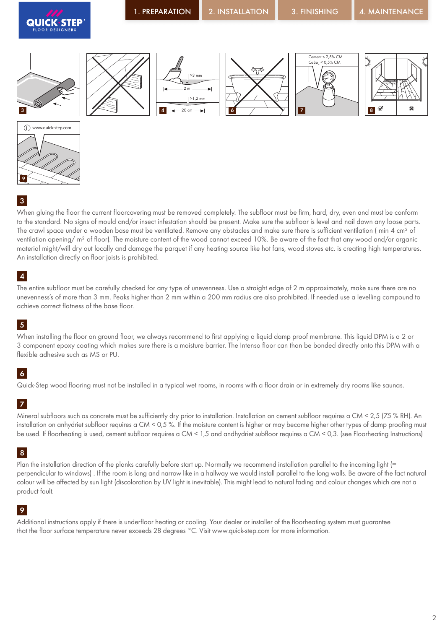











When gluing the floor the current floorcovering must be removed completely. The subfloor must be firm, hard, dry, even and must be conform to the standard. No signs of mould and/or insect infestation should be present. Make sure the subfloor is level and nail down any loose parts. The crawl space under a wooden base must be ventilated. Remove any obstacles and make sure there is sufficient ventilation (min 4 cm<sup>2</sup> of ventilation opening/ m<sup>2</sup> of floor). The moisture content of the wood cannot exceed 10%. Be aware of the fact that any wood and/or organic material might/will dry out locally and damage the parquet if any heating source like hot fans, wood stoves etc. is creating high temperatures. An installation directly on floor joists is prohibited.

# 4

The entire subfloor must be carefully checked for any type of unevenness. Use a straight edge of 2 m approximately, make sure there are no unevenness's of more than 3 mm. Peaks higher than 2 mm within a 200 mm radius are also prohibited. If needed use a levelling compound to achieve correct flatness of the base floor.

# 5

When installing the floor on ground floor, we always recommend to first applying a liquid damp proof membrane. This liquid DPM is a 2 or 3 component epoxy coating which makes sure there is a moisture barrier. The Intenso floor can than be bonded directly onto this DPM with a flexible adhesive such as MS or PU.

# 6

Quick-Step wood flooring must not be installed in a typical wet rooms, in rooms with a floor drain or in extremely dry rooms like saunas.

# 7

Mineral subfloors such as concrete must be sufficiently dry prior to installation. Installation on cement subfloor requires a CM < 2,5 (75 % RH). An installation on anhydriet subfloor requires a CM < 0,5 %. If the moisture content is higher or may become higher other types of damp proofing must be used. If floorheating is used, cement subfloor requires a CM < 1,5 and andhydriet subfloor requires a CM < 0,3. (see Floorheating Instructions)

# 8

Plan the installation direction of the planks carefully before start up. Normally we recommend installation parallel to the incoming light (= perpendicular to windows) . If the room is long and narrow like in a hallway we would install parallel to the long walls. Be aware of the fact natural colour will be affected by sun light (discoloration by UV light is inevitable). This might lead to natural fading and colour changes which are not a product fault.

# 9

Additional instructions apply if there is underfloor heating or cooling. Your dealer or installer of the floorheating system must guarantee that the floor surface temperature never exceeds 28 degrees °C. Visit www.quick-step.com for more information.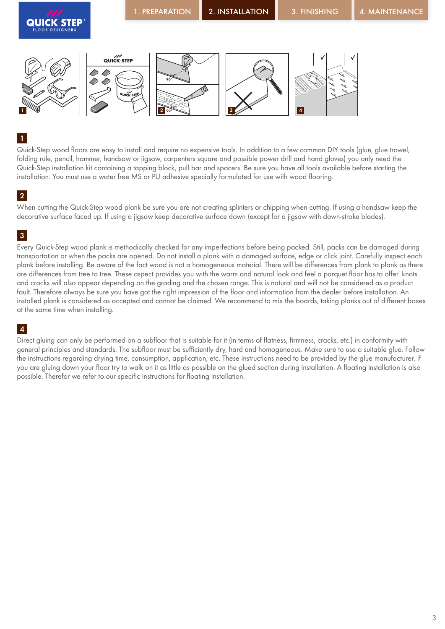

Quick-Step wood floors are easy to install and require no expensive tools. In addition to a few common DIY tools (glue, glue trowel, folding rule, pencil, hammer, handsaw or jigsaw, carpenters square and possible power drill and hand gloves) you only need the Quick-Step installation kit containing a tapping block, pull bar and spacers. Be sure you have all tools available before starting the installation. You must use a water free MS or PU adhesive specially formulated for use with wood flooring.

#### 2

When cutting the Quick-Step wood plank be sure you are not creating splinters or chipping when cutting. If using a handsaw keep the decorative surface faced up. If using a jigsaw keep decorative surface down (except for a jigsaw with down-stroke blades).

#### 3

Every Quick-Step wood plank is methodically checked for any imperfections before being packed. Still, packs can be damaged during transportation or when the packs are opened. Do not install a plank with a damaged surface, edge or click joint. Carefully inspect each plank before installing. Be aware of the fact wood is not a homogeneous material. There will be differences from plank to plank as there are differences from tree to tree. These aspect provides you with the warm and natural look and feel a parquet floor has to offer. knots and cracks will also appear depending on the grading and the chosen range. This is natural and will not be considered as a product fault. Therefore always be sure you have got the right impression of the floor and information from the dealer before installation. An installed plank is considered as accepted and cannot be claimed. We recommend to mix the boards, taking planks out of different boxes at the same time when installing.

#### 4

Direct gluing can only be performed on a subfloor that is suitable for it (in terms of flatness, firmness, cracks, etc.) in conformity with general principles and standards. The subfloor must be sufficiently dry, hard and homogeneous. Make sure to use a suitable glue. Follow the instructions regarding drying time, consumption, application, etc. These instructions need to be provided by the glue manufacturer. If you are gluing down your floor try to walk on it as little as possible on the glued section during installation. A floating installation is also possible. Therefor we refer to our specific instructions for floating installation.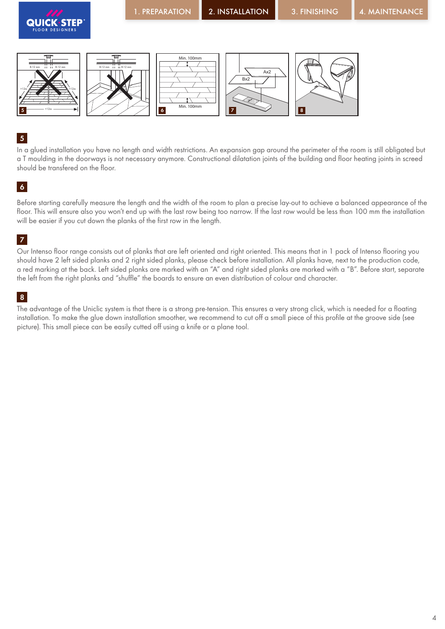![](_page_3_Picture_0.jpeg)

5

>12m

In a glued installation you have no length and width restrictions. An expansion gap around the perimeter of the room is still obligated but a T moulding in the doorways is not necessary anymore. Constructional dilatation joints of the building and floor heating joints in screed should be transfered on the floor.

6 17 V 18

#### 6

Before starting carefully measure the length and the width of the room to plan a precise lay-out to achieve a balanced appearance of the floor. This will ensure also you won't end up with the last row being too narrow. If the last row would be less than 100 mm the installation will be easier if you cut down the planks of the first row in the length.

#### 7

Our Intenso floor range consists out of planks that are left oriented and right oriented. This means that in 1 pack of Intenso flooring you should have 2 left sided planks and 2 right sided planks, please check before installation. All planks have, next to the production code, a red marking at the back. Left sided planks are marked with an "A" and right sided planks are marked with a "B". Before start, separate the left from the right planks and "shuffle" the boards to ensure an even distribution of colour and character.

#### 8

The advantage of the Uniclic system is that there is a strong pre-tension. This ensures a very strong click, which is needed for a floating installation. To make the glue down installation smoother, we recommend to cut off a small piece of this profile at the groove side (see picture). This small piece can be easily cutted off using a knife or a plane tool.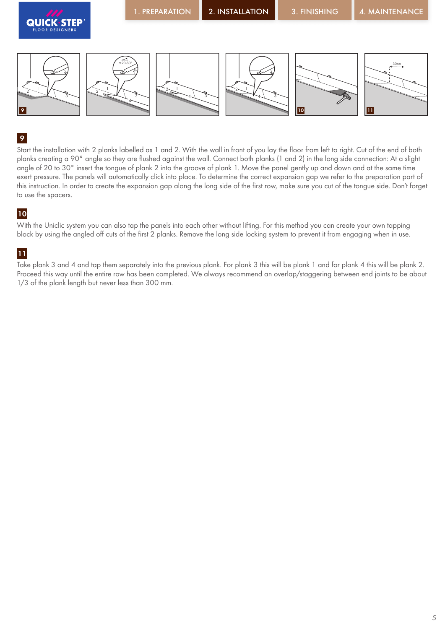![](_page_4_Picture_0.jpeg)

Start the installation with 2 planks labelled as 1 and 2. With the wall in front of you lay the floor from left to right. Cut of the end of both planks creating a 90° angle so they are flushed against the wall. Connect both planks (1 and 2) in the long side connection: At a slight angle of 20 to 30° insert the tongue of plank 2 into the groove of plank 1. Move the panel gently up and down and at the same time exert pressure. The panels will automatically click into place. To determine the correct expansion gap we refer to the preparation part of this instruction. In order to create the expansion gap along the long side of the first row, make sure you cut of the tongue side. Don't forget to use the spacers.

#### 10

With the Uniclic system you can also tap the panels into each other without lifting. For this method you can create your own tapping block by using the angled off cuts of the first 2 planks. Remove the long side locking system to prevent it from engaging when in use.

# 11

Take plank 3 and 4 and tap them separately into the previous plank. For plank 3 this will be plank 1 and for plank 4 this will be plank 2. Proceed this way until the entire row has been completed. We always recommend an overlap/staggering between end joints to be about 1/3 of the plank length but never less than 300 mm.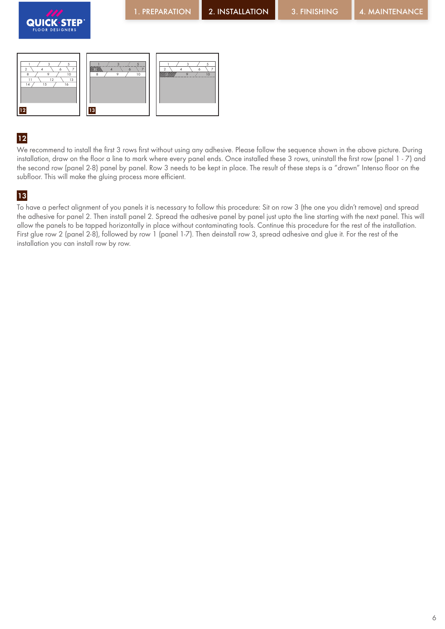![](_page_5_Picture_0.jpeg)

![](_page_5_Picture_1.jpeg)

![](_page_5_Figure_5.jpeg)

We recommend to install the first 3 rows first without using any adhesive. Please follow the sequence shown in the above picture. During installation, draw on the floor a line to mark where every panel ends. Once installed these 3 rows, uninstall the first row (panel 1 - 7) and the second row (panel 2-8) panel by panel. Row 3 needs to be kept in place. The result of these steps is a "drawn" Intenso floor on the subfloor. This will make the gluing process more efficient.

# 13

To have a perfect alignment of you panels it is necessary to follow this procedure: Sit on row 3 (the one you didn't remove) and spread the adhesive for panel 2. Then install panel 2. Spread the adhesive panel by panel just upto the line starting with the next panel. This will allow the panels to be tapped horizontally in place without contaminating tools. Continue this procedure for the rest of the installation. First glue row 2 (panel 2-8), followed by row 1 (panel 1-7). Then deinstall row 3, spread adhesive and glue it. For the rest of the installation you can install row by row.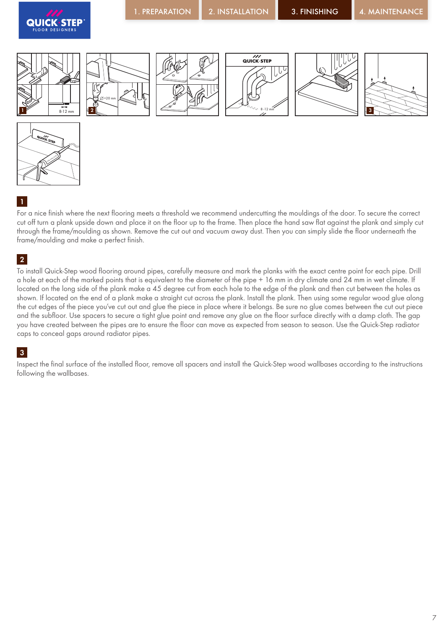![](_page_6_Picture_0.jpeg)

![](_page_6_Figure_5.jpeg)

![](_page_6_Figure_6.jpeg)

![](_page_6_Picture_7.jpeg)

For a nice finish where the next flooring meets a threshold we recommend undercutting the mouldings of the door. To secure the correct cut off turn a plank upside down and place it on the floor up to the frame. Then place the hand saw flat against the plank and simply cut through the frame/moulding as shown. Remove the cut out and vacuum away dust. Then you can simply slide the floor underneath the frame/moulding and make a perfect finish.

# 2

To install Quick-Step wood flooring around pipes, carefully measure and mark the planks with the exact centre point for each pipe. Drill a hole at each of the marked points that is equivalent to the diameter of the pipe + 16 mm in dry climate and 24 mm in wet climate. If located on the long side of the plank make a 45 degree cut from each hole to the edge of the plank and then cut between the holes as shown. If located on the end of a plank make a straight cut across the plank. Install the plank. Then using some regular wood glue along the cut edges of the piece you've cut out and glue the piece in place where it belongs. Be sure no glue comes between the cut out piece and the subfloor. Use spacers to secure a tight glue point and remove any glue on the floor surface directly with a damp cloth. The gap you have created between the pipes are to ensure the floor can move as expected from season to season. Use the Quick-Step radiator caps to conceal gaps around radiator pipes.

# 3

Inspect the final surface of the installed floor, remove all spacers and install the Quick-Step wood wallbases according to the instructions following the wallbases.